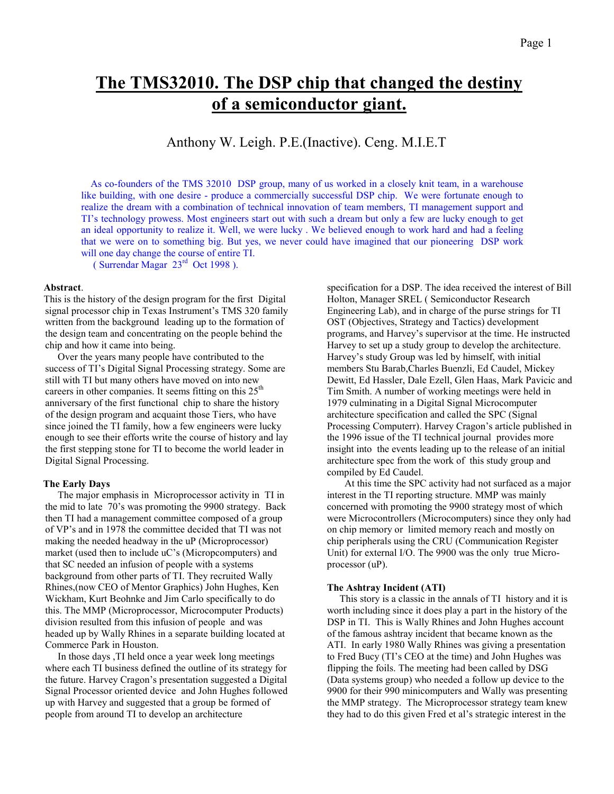# **The TMS32010. The DSP chip that changed the destiny of a semiconductor giant.**

# Anthony W. Leigh. P.E.(Inactive). Ceng. M.I.E.T

 As co-founders of the TMS 32010 DSP group, many of us worked in a closely knit team, in a warehouse like building, with one desire - produce a commercially successful DSP chip. We were fortunate enough to realize the dream with a combination of technical innovation of team members, TI management support and TI's technology prowess. Most engineers start out with such a dream but only a few are lucky enough to get an ideal opportunity to realize it. Well, we were lucky . We believed enough to work hard and had a feeling that we were on to something big. But yes, we never could have imagined that our pioneering DSP work will one day change the course of entire TI.

( Surrendar Magar  $23<sup>rd</sup>$  Oct 1998 ).

## **Abstract**.

This is the history of the design program for the first Digital signal processor chip in Texas Instrument's TMS 320 family written from the background leading up to the formation of the design team and concentrating on the people behind the chip and how it came into being.

 Over the years many people have contributed to the success of TI's Digital Signal Processing strategy. Some are still with TI but many others have moved on into new careers in other companies. It seems fitting on this  $25<sup>th</sup>$ anniversary of the first functional chip to share the history of the design program and acquaint those Tiers, who have since joined the TI family, how a few engineers were lucky enough to see their efforts write the course of history and lay the first stepping stone for TI to become the world leader in Digital Signal Processing.

# **The Early Days**

 The major emphasis in Microprocessor activity in TI in the mid to late 70's was promoting the 9900 strategy. Back then TI had a management committee composed of a group of VP's and in 1978 the committee decided that TI was not making the needed headway in the uP (Microprocessor) market (used then to include uC's (Micropcomputers) and that SC needed an infusion of people with a systems background from other parts of TI. They recruited Wally Rhines,(now CEO of Mentor Graphics) John Hughes, Ken Wickham, Kurt Beohnke and Jim Carlo specifically to do this. The MMP (Microprocessor, Microcomputer Products) division resulted from this infusion of people and was headed up by Wally Rhines in a separate building located at Commerce Park in Houston.

 In those days ,TI held once a year week long meetings where each TI business defined the outline of its strategy for the future. Harvey Cragon's presentation suggested a Digital Signal Processor oriented device and John Hughes followed up with Harvey and suggested that a group be formed of people from around TI to develop an architecture

specification for a DSP. The idea received the interest of Bill Holton, Manager SREL ( Semiconductor Research Engineering Lab), and in charge of the purse strings for TI OST (Objectives, Strategy and Tactics) development programs, and Harvey's supervisor at the time. He instructed Harvey to set up a study group to develop the architecture. Harvey's study Group was led by himself, with initial members Stu Barab,Charles Buenzli, Ed Caudel, Mickey Dewitt, Ed Hassler, Dale Ezell, Glen Haas, Mark Pavicic and Tim Smith. A number of working meetings were held in 1979 culminating in a Digital Signal Microcomputer architecture specification and called the SPC (Signal Processing Computerr). Harvey Cragon's article published in the 1996 issue of the TI technical journal provides more insight into the events leading up to the release of an initial architecture spec from the work of this study group and compiled by Ed Caudel.

 At this time the SPC activity had not surfaced as a major interest in the TI reporting structure. MMP was mainly concerned with promoting the 9900 strategy most of which were Microcontrollers (Microcomputers) since they only had on chip memory or limited memory reach and mostly on chip peripherals using the CRU (Communication Register Unit) for external I/O. The 9900 was the only true Microprocessor (uP).

### **The Ashtray Incident (ATI)**

 This story is a classic in the annals of TI history and it is worth including since it does play a part in the history of the DSP in TI. This is Wally Rhines and John Hughes account of the famous ashtray incident that became known as the ATI. In early 1980 Wally Rhines was giving a presentation to Fred Bucy (TI's CEO at the time) and John Hughes was flipping the foils. The meeting had been called by DSG (Data systems group) who needed a follow up device to the 9900 for their 990 minicomputers and Wally was presenting the MMP strategy. The Microprocessor strategy team knew they had to do this given Fred et al's strategic interest in the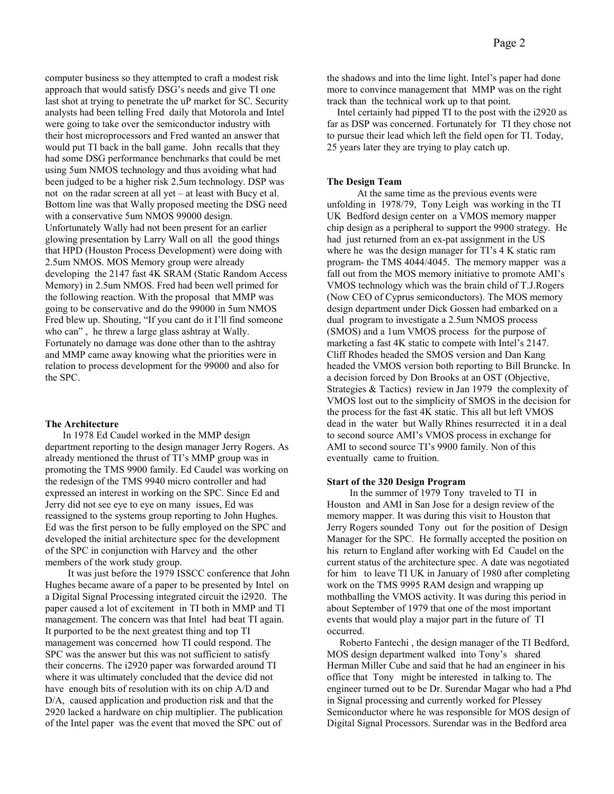computer business so they attempted to craft a modest risk approach that would satisfy DSG's needs and give TI one last shot at trying to penetrate the uP market for SC. Security analysts had been telling Fred daily that Motorola and Intel were going to take over the semiconductor industry with their host microprocessors and Fred wanted an answer that would put TI back in the ball game. John recalls that they had some DSG performance benchmarks that could be met using 5um NMOS technology and thus avoiding what had been judged to be a higher risk 2.5um technology. DSP was not on the radar screen at all yet – at least with Bucy et al. Bottom line was that Wally proposed meeting the DSG need with a conservative 5um NMOS 99000 design. Unfortunately Wally had not been present for an earlier glowing presentation by Larry Wall on all the good things that HPD (Houston Process Development) were doing with 2.5um NMOS. MOS Memory group were already developing the 2147 fast 4K SRAM (Static Random Access Memory) in 2.5um NMOS. Fred had been well primed for the following reaction. With the proposal that MMP was going to be conservative and do the 99000 in 5um NMOS Fred blew up. Shouting, "If you cant do it I'll find someone who can" , he threw a large glass ashtray at Wally. Fortunately no damage was done other than to the ashtray and MMP came away knowing what the priorities were in relation to process development for the 99000 and also for the SPC.

## **The Architecture**

 In 1978 Ed Caudel worked in the MMP design department reporting to the design manager Jerry Rogers. As already mentioned the thrust of TI's MMP group was in promoting the TMS 9900 family. Ed Caudel was working on the redesign of the TMS 9940 micro controller and had expressed an interest in working on the SPC. Since Ed and Jerry did not see eye to eye on many issues, Ed was reassigned to the systems group reporting to John Hughes. Ed was the first person to be fully employed on the SPC and developed the initial architecture spec for the development of the SPC in conjunction with Harvey and the other members of the work study group.

 It was just before the 1979 ISSCC conference that John Hughes became aware of a paper to be presented by Intel on a Digital Signal Processing integrated circuit the i2920. The paper caused a lot of excitement in TI both in MMP and TI management. The concern was that Intel had beat TI again. It purported to be the next greatest thing and top TI management was concerned how TI could respond. The SPC was the answer but this was not sufficient to satisfy their concerns. The i2920 paper was forwarded around TI where it was ultimately concluded that the device did not have enough bits of resolution with its on chip A/D and D/A, caused application and production risk and that the 2920 lacked a hardware on chip multiplier. The publication of the Intel paper was the event that moved the SPC out of

the shadows and into the lime light. Intel's paper had done more to convince management that MMP was on the right track than the technical work up to that point.

 Intel certainly had pipped TI to the post with the i2920 as far as DSP was concerned. Fortunately for TI they chose not to pursue their lead which left the field open for TI. Today, 25 years later they are trying to play catch up.

# **The Design Team**

 At the same time as the previous events were unfolding in 1978/79, Tony Leigh was working in the TI UK Bedford design center on a VMOS memory mapper chip design as a peripheral to support the 9900 strategy. He had just returned from an ex-pat assignment in the US where he was the design manager for TI's 4 K static ram program- the TMS 4044/4045. The memory mapper was a fall out from the MOS memory initiative to promote AMI's VMOS technology which was the brain child of T.J.Rogers (Now CEO of Cyprus semiconductors). The MOS memory design department under Dick Gossen had embarked on a dual program to investigate a 2.5um NMOS process (SMOS) and a 1um VMOS process for the purpose of marketing a fast 4K static to compete with Intel's 2147. Cliff Rhodes headed the SMOS version and Dan Kang headed the VMOS version both reporting to Bill Bruncke. In a decision forced by Don Brooks at an OST (Objective, Strategies & Tactics) review in Jan 1979 the complexity of VMOS lost out to the simplicity of SMOS in the decision for the process for the fast 4K static. This all but left VMOS dead in the water but Wally Rhines resurrected it in a deal to second source AMI's VMOS process in exchange for AMI to second source TI's 9900 family. Non of this eventually came to fruition.

# **Start of the 320 Design Program**

 In the summer of 1979 Tony traveled to TI in Houston and AMI in San Jose for a design review of the memory mapper. It was during this visit to Houston that Jerry Rogers sounded Tony out for the position of Design Manager for the SPC. He formally accepted the position on his return to England after working with Ed Caudel on the current status of the architecture spec. A date was negotiated for him to leave TI UK in January of 1980 after completing work on the TMS 9995 RAM design and wrapping up mothballing the VMOS activity. It was during this period in about September of 1979 that one of the most important events that would play a major part in the future of TI occurred.

 Roberto Fantechi , the design manager of the TI Bedford, MOS design department walked into Tony's shared Herman Miller Cube and said that he had an engineer in his office that Tony might be interested in talking to. The engineer turned out to be Dr. Surendar Magar who had a Phd in Signal processing and currently worked for Plessey Semiconductor where he was responsible for MOS design of Digital Signal Processors. Surendar was in the Bedford area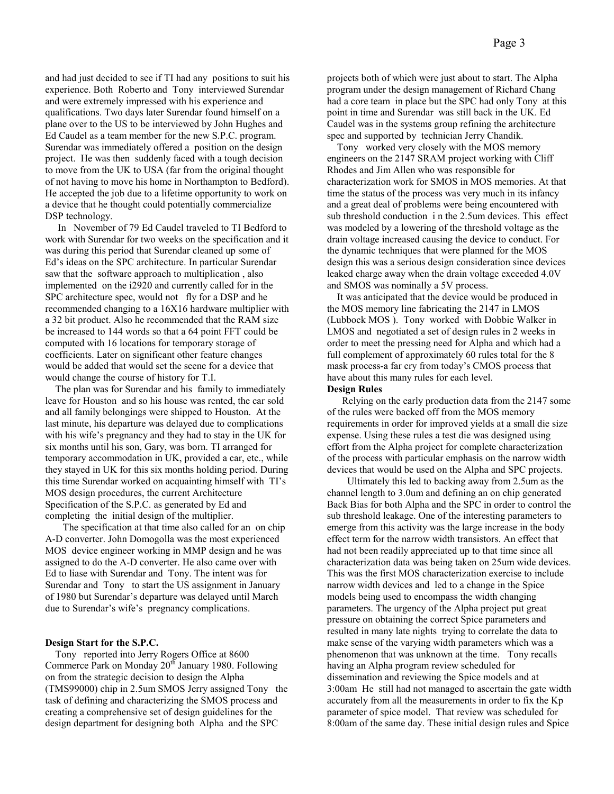and had just decided to see if TI had any positions to suit his experience. Both Roberto and Tony interviewed Surendar and were extremely impressed with his experience and qualifications. Two days later Surendar found himself on a plane over to the US to be interviewed by John Hughes and Ed Caudel as a team member for the new S.P.C. program. Surendar was immediately offered a position on the design project. He was then suddenly faced with a tough decision to move from the UK to USA (far from the original thought of not having to move his home in Northampton to Bedford). He accepted the job due to a lifetime opportunity to work on a device that he thought could potentially commercialize DSP technology.

 In November of 79 Ed Caudel traveled to TI Bedford to work with Surendar for two weeks on the specification and it was during this period that Surendar cleaned up some of Ed's ideas on the SPC architecture. In particular Surendar saw that the software approach to multiplication , also implemented on the i2920 and currently called for in the SPC architecture spec, would not fly for a DSP and he recommended changing to a 16X16 hardware multiplier with a 32 bit product. Also he recommended that the RAM size be increased to 144 words so that a 64 point FFT could be computed with 16 locations for temporary storage of coefficients. Later on significant other feature changes would be added that would set the scene for a device that would change the course of history for T.I.

 The plan was for Surendar and his family to immediately leave for Houston and so his house was rented, the car sold and all family belongings were shipped to Houston. At the last minute, his departure was delayed due to complications with his wife's pregnancy and they had to stay in the UK for six months until his son, Gary, was born. TI arranged for temporary accommodation in UK, provided a car, etc., while they stayed in UK for this six months holding period. During this time Surendar worked on acquainting himself with TI's MOS design procedures, the current Architecture Specification of the S.P.C. as generated by Ed and completing the initial design of the multiplier.

 The specification at that time also called for an on chip A-D converter. John Domogolla was the most experienced MOS device engineer working in MMP design and he was assigned to do the A-D converter. He also came over with Ed to liase with Surendar and Tony. The intent was for Surendar and Tony to start the US assignment in January of 1980 but Surendar's departure was delayed until March due to Surendar's wife's pregnancy complications.

# **Design Start for the S.P.C.**

 Tony reported into Jerry Rogers Office at 8600 Commerce Park on Monday  $20<sup>th</sup>$  January 1980. Following on from the strategic decision to design the Alpha (TMS99000) chip in 2.5um SMOS Jerry assigned Tony the task of defining and characterizing the SMOS process and creating a comprehensive set of design guidelines for the design department for designing both Alpha and the SPC

projects both of which were just about to start. The Alpha program under the design management of Richard Chang had a core team in place but the SPC had only Tony at this point in time and Surendar was still back in the UK. Ed Caudel was in the systems group refining the architecture spec and supported by technician Jerry Chandik.

 Tony worked very closely with the MOS memory engineers on the 2147 SRAM project working with Cliff Rhodes and Jim Allen who was responsible for characterization work for SMOS in MOS memories. At that time the status of the process was very much in its infancy and a great deal of problems were being encountered with sub threshold conduction i n the 2.5um devices. This effect was modeled by a lowering of the threshold voltage as the drain voltage increased causing the device to conduct. For the dynamic techniques that were planned for the MOS design this was a serious design consideration since devices leaked charge away when the drain voltage exceeded 4.0V and SMOS was nominally a 5V process.

 It was anticipated that the device would be produced in the MOS memory line fabricating the 2147 in LMOS (Lubbock MOS ). Tony worked with Dobbie Walker in LMOS and negotiated a set of design rules in 2 weeks in order to meet the pressing need for Alpha and which had a full complement of approximately 60 rules total for the 8 mask process-a far cry from today's CMOS process that have about this many rules for each level.

#### **Design Rules**

 Relying on the early production data from the 2147 some of the rules were backed off from the MOS memory requirements in order for improved yields at a small die size expense. Using these rules a test die was designed using effort from the Alpha project for complete characterization of the process with particular emphasis on the narrow width devices that would be used on the Alpha and SPC projects.

 Ultimately this led to backing away from 2.5um as the channel length to 3.0um and defining an on chip generated Back Bias for both Alpha and the SPC in order to control the sub threshold leakage. One of the interesting parameters to emerge from this activity was the large increase in the body effect term for the narrow width transistors. An effect that had not been readily appreciated up to that time since all characterization data was being taken on 25um wide devices. This was the first MOS characterization exercise to include narrow width devices and led to a change in the Spice models being used to encompass the width changing parameters. The urgency of the Alpha project put great pressure on obtaining the correct Spice parameters and resulted in many late nights trying to correlate the data to make sense of the varying width parameters which was a phenomenon that was unknown at the time. Tony recalls having an Alpha program review scheduled for dissemination and reviewing the Spice models and at 3:00am He still had not managed to ascertain the gate width accurately from all the measurements in order to fix the Kp parameter of spice model. That review was scheduled for 8:00am of the same day. These initial design rules and Spice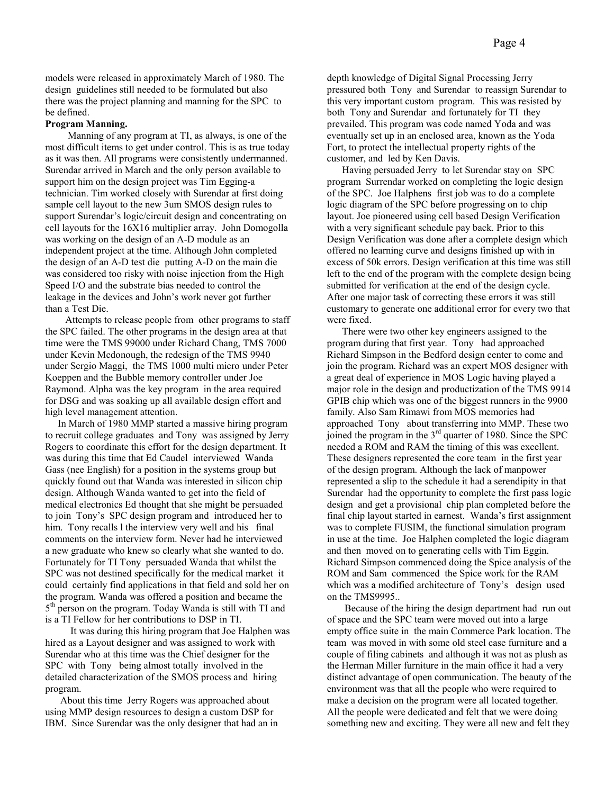models were released in approximately March of 1980. The design guidelines still needed to be formulated but also there was the project planning and manning for the SPC to be defined.

# **Program Manning.**

 Manning of any program at TI, as always, is one of the most difficult items to get under control. This is as true today as it was then. All programs were consistently undermanned. Surendar arrived in March and the only person available to support him on the design project was Tim Egging-a technician. Tim worked closely with Surendar at first doing sample cell layout to the new 3um SMOS design rules to support Surendar's logic/circuit design and concentrating on cell layouts for the 16X16 multiplier array. John Domogolla was working on the design of an A-D module as an independent project at the time. Although John completed the design of an A-D test die putting A-D on the main die was considered too risky with noise injection from the High Speed I/O and the substrate bias needed to control the leakage in the devices and John's work never got further than a Test Die.

 Attempts to release people from other programs to staff the SPC failed. The other programs in the design area at that time were the TMS 99000 under Richard Chang, TMS 7000 under Kevin Mcdonough, the redesign of the TMS 9940 under Sergio Maggi, the TMS 1000 multi micro under Peter Koeppen and the Bubble memory controller under Joe Raymond. Alpha was the key program in the area required for DSG and was soaking up all available design effort and high level management attention.

 In March of 1980 MMP started a massive hiring program to recruit college graduates and Tony was assigned by Jerry Rogers to coordinate this effort for the design department. It was during this time that Ed Caudel interviewed Wanda Gass (nee English) for a position in the systems group but quickly found out that Wanda was interested in silicon chip design. Although Wanda wanted to get into the field of medical electronics Ed thought that she might be persuaded to join Tony's SPC design program and introduced her to him. Tony recalls 1 the interview very well and his final comments on the interview form. Never had he interviewed a new graduate who knew so clearly what she wanted to do. Fortunately for TI Tony persuaded Wanda that whilst the SPC was not destined specifically for the medical market it could certainly find applications in that field and sold her on the program. Wanda was offered a position and became the 5<sup>th</sup> person on the program. Today Wanda is still with TI and is a TI Fellow for her contributions to DSP in TI.

 It was during this hiring program that Joe Halphen was hired as a Layout designer and was assigned to work with Surendar who at this time was the Chief designer for the SPC with Tony being almost totally involved in the detailed characterization of the SMOS process and hiring program.

 About this time Jerry Rogers was approached about using MMP design resources to design a custom DSP for IBM. Since Surendar was the only designer that had an in

depth knowledge of Digital Signal Processing Jerry pressured both Tony and Surendar to reassign Surendar to this very important custom program. This was resisted by both Tony and Surendar and fortunately for TI they prevailed. This program was code named Yoda and was eventually set up in an enclosed area, known as the Yoda Fort, to protect the intellectual property rights of the customer, and led by Ken Davis.

 Having persuaded Jerry to let Surendar stay on SPC program Surrendar worked on completing the logic design of the SPC. Joe Halphens first job was to do a complete logic diagram of the SPC before progressing on to chip layout. Joe pioneered using cell based Design Verification with a very significant schedule pay back. Prior to this Design Verification was done after a complete design which offered no learning curve and designs finished up with in excess of 50k errors. Design verification at this time was still left to the end of the program with the complete design being submitted for verification at the end of the design cycle. After one major task of correcting these errors it was still customary to generate one additional error for every two that were fixed.

 There were two other key engineers assigned to the program during that first year. Tony had approached Richard Simpson in the Bedford design center to come and join the program. Richard was an expert MOS designer with a great deal of experience in MOS Logic having played a major role in the design and productization of the TMS 9914 GPIB chip which was one of the biggest runners in the 9900 family. Also Sam Rimawi from MOS memories had approached Tony about transferring into MMP. These two joined the program in the  $3<sup>rd</sup>$  quarter of 1980. Since the SPC needed a ROM and RAM the timing of this was excellent. These designers represented the core team in the first year of the design program. Although the lack of manpower represented a slip to the schedule it had a serendipity in that Surendar had the opportunity to complete the first pass logic design and get a provisional chip plan completed before the final chip layout started in earnest. Wanda's first assignment was to complete FUSIM, the functional simulation program in use at the time. Joe Halphen completed the logic diagram and then moved on to generating cells with Tim Eggin. Richard Simpson commenced doing the Spice analysis of the ROM and Sam commenced the Spice work for the RAM which was a modified architecture of Tony's design used on the TMS9995..

 Because of the hiring the design department had run out of space and the SPC team were moved out into a large empty office suite in the main Commerce Park location. The team was moved in with some old steel case furniture and a couple of filing cabinets and although it was not as plush as the Herman Miller furniture in the main office it had a very distinct advantage of open communication. The beauty of the environment was that all the people who were required to make a decision on the program were all located together. All the people were dedicated and felt that we were doing something new and exciting. They were all new and felt they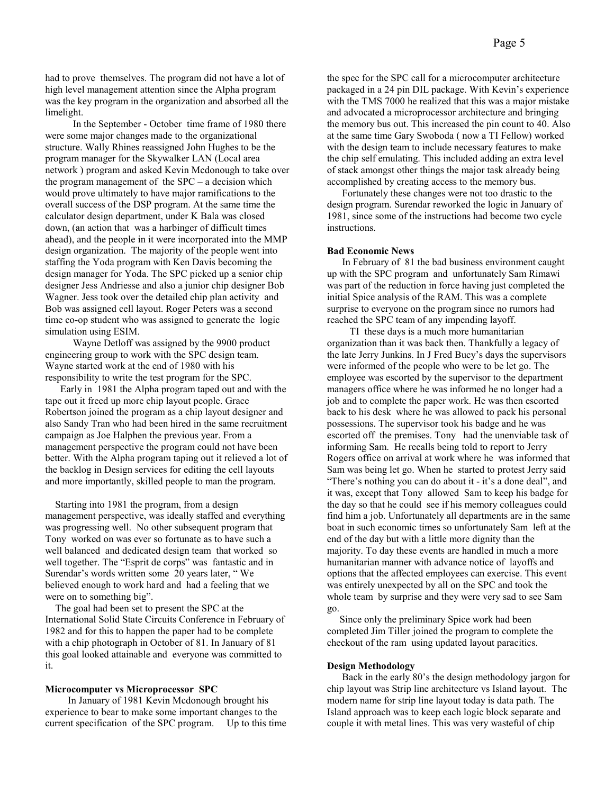had to prove themselves. The program did not have a lot of high level management attention since the Alpha program was the key program in the organization and absorbed all the limelight.

 In the September - October time frame of 1980 there were some major changes made to the organizational structure. Wally Rhines reassigned John Hughes to be the program manager for the Skywalker LAN (Local area network ) program and asked Kevin Mcdonough to take over the program management of the SPC – a decision which would prove ultimately to have major ramifications to the overall success of the DSP program. At the same time the calculator design department, under K Bala was closed down, (an action that was a harbinger of difficult times ahead), and the people in it were incorporated into the MMP design organization. The majority of the people went into staffing the Yoda program with Ken Davis becoming the design manager for Yoda. The SPC picked up a senior chip designer Jess Andriesse and also a junior chip designer Bob Wagner. Jess took over the detailed chip plan activity and Bob was assigned cell layout. Roger Peters was a second time co-op student who was assigned to generate the logic simulation using ESIM.

 Wayne Detloff was assigned by the 9900 product engineering group to work with the SPC design team. Wayne started work at the end of 1980 with his responsibility to write the test program for the SPC.

 Early in 1981 the Alpha program taped out and with the tape out it freed up more chip layout people. Grace Robertson joined the program as a chip layout designer and also Sandy Tran who had been hired in the same recruitment campaign as Joe Halphen the previous year. From a management perspective the program could not have been better. With the Alpha program taping out it relieved a lot of the backlog in Design services for editing the cell layouts and more importantly, skilled people to man the program.

 Starting into 1981 the program, from a design management perspective, was ideally staffed and everything was progressing well. No other subsequent program that Tony worked on was ever so fortunate as to have such a well balanced and dedicated design team that worked so well together. The "Esprit de corps" was fantastic and in Surendar's words written some 20 years later, " We believed enough to work hard and had a feeling that we were on to something big".

 The goal had been set to present the SPC at the International Solid State Circuits Conference in February of 1982 and for this to happen the paper had to be complete with a chip photograph in October of 81. In January of 81 this goal looked attainable and everyone was committed to it.

#### **Microcomputer vs Microprocessor SPC**

 In January of 1981 Kevin Mcdonough brought his experience to bear to make some important changes to the current specification of the SPC program. Up to this time

the spec for the SPC call for a microcomputer architecture packaged in a 24 pin DIL package. With Kevin's experience with the TMS 7000 he realized that this was a major mistake and advocated a microprocessor architecture and bringing the memory bus out. This increased the pin count to 40. Also at the same time Gary Swoboda ( now a TI Fellow) worked with the design team to include necessary features to make the chip self emulating. This included adding an extra level of stack amongst other things the major task already being accomplished by creating access to the memory bus.

 Fortunately these changes were not too drastic to the design program. Surendar reworked the logic in January of 1981, since some of the instructions had become two cycle instructions.

#### **Bad Economic News**

 In February of 81 the bad business environment caught up with the SPC program and unfortunately Sam Rimawi was part of the reduction in force having just completed the initial Spice analysis of the RAM. This was a complete surprise to everyone on the program since no rumors had reached the SPC team of any impending layoff.

 TI these days is a much more humanitarian organization than it was back then. Thankfully a legacy of the late Jerry Junkins. In J Fred Bucy's days the supervisors were informed of the people who were to be let go. The employee was escorted by the supervisor to the department managers office where he was informed he no longer had a job and to complete the paper work. He was then escorted back to his desk where he was allowed to pack his personal possessions. The supervisor took his badge and he was escorted off the premises. Tony had the unenviable task of informing Sam. He recalls being told to report to Jerry Rogers office on arrival at work where he was informed that Sam was being let go. When he started to protest Jerry said "There's nothing you can do about it - it's a done deal", and it was, except that Tony allowed Sam to keep his badge for the day so that he could see if his memory colleagues could find him a job. Unfortunately all departments are in the same boat in such economic times so unfortunately Sam left at the end of the day but with a little more dignity than the majority. To day these events are handled in much a more humanitarian manner with advance notice of layoffs and options that the affected employees can exercise. This event was entirely unexpected by all on the SPC and took the whole team by surprise and they were very sad to see Sam go.

 Since only the preliminary Spice work had been completed Jim Tiller joined the program to complete the checkout of the ram using updated layout paracitics.

#### **Design Methodology**

 Back in the early 80's the design methodology jargon for chip layout was Strip line architecture vs Island layout. The modern name for strip line layout today is data path. The Island approach was to keep each logic block separate and couple it with metal lines. This was very wasteful of chip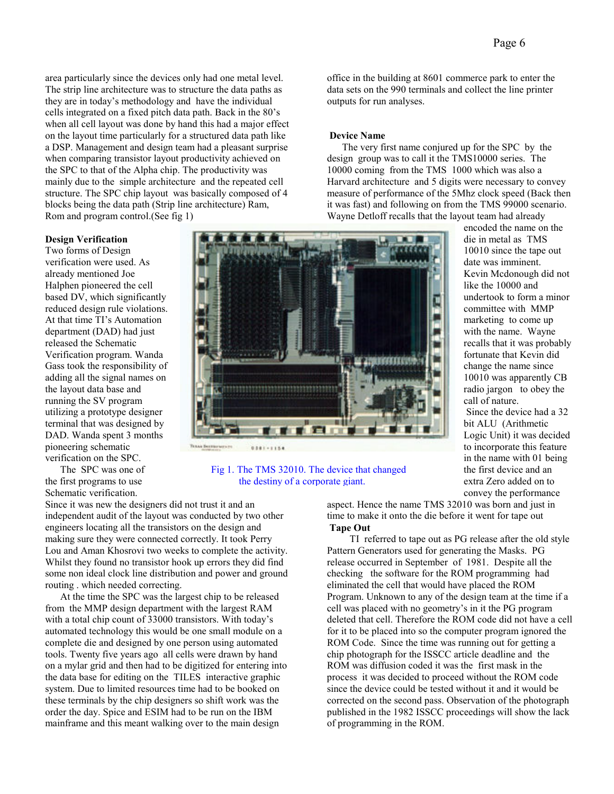area particularly since the devices only had one metal level. The strip line architecture was to structure the data paths as they are in today's methodology and have the individual cells integrated on a fixed pitch data path. Back in the 80's when all cell layout was done by hand this had a major effect on the layout time particularly for a structured data path like a DSP. Management and design team had a pleasant surprise when comparing transistor layout productivity achieved on the SPC to that of the Alpha chip. The productivity was mainly due to the simple architecture and the repeated cell structure. The SPC chip layout was basically composed of 4 blocks being the data path (Strip line architecture) Ram, Rom and program control.(See fig 1)

# **Design Verification**

Two forms of Design verification were used. As already mentioned Joe Halphen pioneered the cell based DV, which significantly reduced design rule violations. At that time TI's Automation department (DAD) had just released the Schematic Verification program. Wanda Gass took the responsibility of adding all the signal names on the layout data base and running the SV program utilizing a prototype designer terminal that was designed by DAD. Wanda spent 3 months pioneering schematic verification on the SPC.

 The SPC was one of the first programs to use Schematic verification.

Since it was new the designers did not trust it and an independent audit of the layout was conducted by two other engineers locating all the transistors on the design and making sure they were connected correctly. It took Perry Lou and Aman Khosrovi two weeks to complete the activity. Whilst they found no transistor hook up errors they did find some non ideal clock line distribution and power and ground routing . which needed correcting.

 At the time the SPC was the largest chip to be released from the MMP design department with the largest RAM with a total chip count of 33000 transistors. With today's automated technology this would be one small module on a complete die and designed by one person using automated tools. Twenty five years ago all cells were drawn by hand on a mylar grid and then had to be digitized for entering into the data base for editing on the TILES interactive graphic system. Due to limited resources time had to be booked on these terminals by the chip designers so shift work was the order the day. Spice and ESIM had to be run on the IBM mainframe and this meant walking over to the main design

office in the building at 8601 commerce park to enter the data sets on the 990 terminals and collect the line printer outputs for run analyses.

# **Device Name**

The very first name conjured up for the SPC by the design group was to call it the TMS10000 series. The 10000 coming from the TMS 1000 which was also a Harvard architecture and 5 digits were necessary to convey measure of performance of the 5Mhz clock speed (Back then it was fast) and following on from the TMS 99000 scenario. Wayne Detloff recalls that the layout team had already

> encoded the name on the die in metal as TMS 10010 since the tape out date was imminent. Kevin Mcdonough did not like the 10000 and undertook to form a minor committee with MMP marketing to come up with the name. Wayne recalls that it was probably fortunate that Kevin did change the name since 10010 was apparently CB radio jargon to obey the call of nature.

 Since the device had a 32 bit ALU (Arithmetic Logic Unit) it was decided to incorporate this feature in the name with 01 being the first device and an extra Zero added on to convey the performance



# Fig 1. The TMS 32010. The device that changed the destiny of a corporate giant.

aspect. Hence the name TMS 32010 was born and just in time to make it onto the die before it went for tape out **Tape Out** 

TI referred to tape out as PG release after the old style Pattern Generators used for generating the Masks. PG release occurred in September of 1981. Despite all the checking the software for the ROM programming had eliminated the cell that would have placed the ROM Program. Unknown to any of the design team at the time if a cell was placed with no geometry's in it the PG program deleted that cell. Therefore the ROM code did not have a cell for it to be placed into so the computer program ignored the ROM Code. Since the time was running out for getting a chip photograph for the ISSCC article deadline and the ROM was diffusion coded it was the first mask in the process it was decided to proceed without the ROM code since the device could be tested without it and it would be corrected on the second pass. Observation of the photograph published in the 1982 ISSCC proceedings will show the lack of programming in the ROM.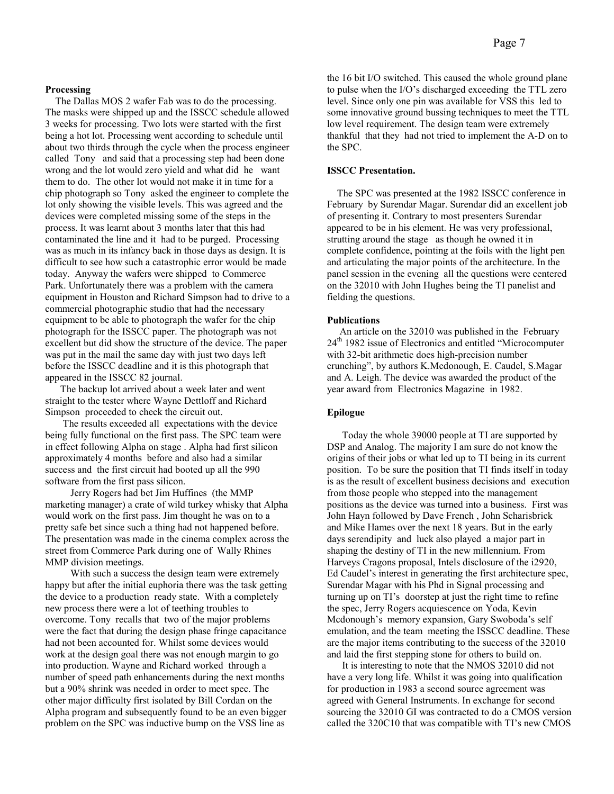# **Processing**

The Dallas MOS 2 wafer Fab was to do the processing. The masks were shipped up and the ISSCC schedule allowed 3 weeks for processing. Two lots were started with the first being a hot lot. Processing went according to schedule until about two thirds through the cycle when the process engineer called Tony and said that a processing step had been done wrong and the lot would zero yield and what did he want them to do. The other lot would not make it in time for a chip photograph so Tony asked the engineer to complete the lot only showing the visible levels. This was agreed and the devices were completed missing some of the steps in the process. It was learnt about 3 months later that this had contaminated the line and it had to be purged. Processing was as much in its infancy back in those days as design. It is difficult to see how such a catastrophic error would be made today. Anyway the wafers were shipped to Commerce Park. Unfortunately there was a problem with the camera equipment in Houston and Richard Simpson had to drive to a commercial photographic studio that had the necessary equipment to be able to photograph the wafer for the chip photograph for the ISSCC paper. The photograph was not excellent but did show the structure of the device. The paper was put in the mail the same day with just two days left before the ISSCC deadline and it is this photograph that appeared in the ISSCC 82 journal.

 The backup lot arrived about a week later and went straight to the tester where Wayne Dettloff and Richard Simpson proceeded to check the circuit out.

 The results exceeded all expectations with the device being fully functional on the first pass. The SPC team were in effect following Alpha on stage . Alpha had first silicon approximately 4 months before and also had a similar success and the first circuit had booted up all the 990 software from the first pass silicon.

 Jerry Rogers had bet Jim Huffines (the MMP marketing manager) a crate of wild turkey whisky that Alpha would work on the first pass. Jim thought he was on to a pretty safe bet since such a thing had not happened before. The presentation was made in the cinema complex across the street from Commerce Park during one of Wally Rhines MMP division meetings.

 With such a success the design team were extremely happy but after the initial euphoria there was the task getting the device to a production ready state. With a completely new process there were a lot of teething troubles to overcome. Tony recalls that two of the major problems were the fact that during the design phase fringe capacitance had not been accounted for. Whilst some devices would work at the design goal there was not enough margin to go into production. Wayne and Richard worked through a number of speed path enhancements during the next months but a 90% shrink was needed in order to meet spec. The other major difficulty first isolated by Bill Cordan on the Alpha program and subsequently found to be an even bigger problem on the SPC was inductive bump on the VSS line as

the 16 bit I/O switched. This caused the whole ground plane to pulse when the I/O's discharged exceeding the TTL zero level. Since only one pin was available for VSS this led to some innovative ground bussing techniques to meet the TTL low level requirement. The design team were extremely thankful that they had not tried to implement the A-D on to the SPC.

# **ISSCC Presentation.**

The SPC was presented at the 1982 ISSCC conference in February by Surendar Magar. Surendar did an excellent job of presenting it. Contrary to most presenters Surendar appeared to be in his element. He was very professional, strutting around the stage as though he owned it in complete confidence, pointing at the foils with the light pen and articulating the major points of the architecture. In the panel session in the evening all the questions were centered on the 32010 with John Hughes being the TI panelist and fielding the questions.

# **Publications**

 An article on the 32010 was published in the February 24<sup>th</sup> 1982 issue of Electronics and entitled "Microcomputer with 32-bit arithmetic does high-precision number crunching", by authors K.Mcdonough, E. Caudel, S.Magar and A. Leigh. The device was awarded the product of the year award from Electronics Magazine in 1982.

### **Epilogue**

 Today the whole 39000 people at TI are supported by DSP and Analog. The majority I am sure do not know the origins of their jobs or what led up to TI being in its current position. To be sure the position that TI finds itself in today is as the result of excellent business decisions and execution from those people who stepped into the management positions as the device was turned into a business. First was John Hayn followed by Dave French , John Scharisbrick and Mike Hames over the next 18 years. But in the early days serendipity and luck also played a major part in shaping the destiny of TI in the new millennium. From Harveys Cragons proposal, Intels disclosure of the i2920, Ed Caudel's interest in generating the first architecture spec, Surendar Magar with his Phd in Signal processing and turning up on TI's doorstep at just the right time to refine the spec, Jerry Rogers acquiescence on Yoda, Kevin Mcdonough's memory expansion, Gary Swoboda's self emulation, and the team meeting the ISSCC deadline. These are the major items contributing to the success of the 32010 and laid the first stepping stone for others to build on.

 It is interesting to note that the NMOS 32010 did not have a very long life. Whilst it was going into qualification for production in 1983 a second source agreement was agreed with General Instruments. In exchange for second sourcing the 32010 GI was contracted to do a CMOS version called the 320C10 that was compatible with TI's new CMOS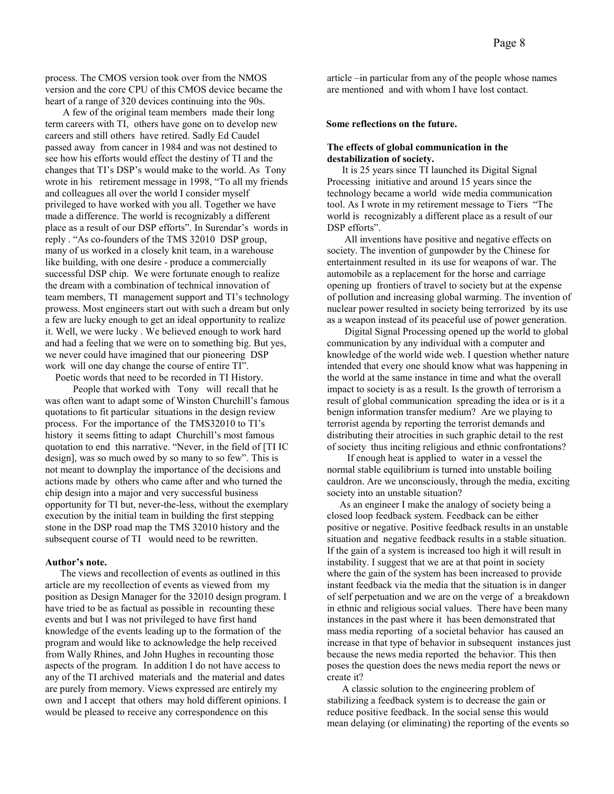process. The CMOS version took over from the NMOS version and the core CPU of this CMOS device became the heart of a range of 320 devices continuing into the 90s.

 A few of the original team members made their long term careers with TI, others have gone on to develop new careers and still others have retired. Sadly Ed Caudel passed away from cancer in 1984 and was not destined to see how his efforts would effect the destiny of TI and the changes that TI's DSP's would make to the world. As Tony wrote in his retirement message in 1998, "To all my friends and colleagues all over the world I consider myself privileged to have worked with you all. Together we have made a difference. The world is recognizably a different place as a result of our DSP efforts". In Surendar's words in reply . "As co-founders of the TMS 32010 DSP group, many of us worked in a closely knit team, in a warehouse like building, with one desire - produce a commercially successful DSP chip. We were fortunate enough to realize the dream with a combination of technical innovation of team members, TI management support and TI's technology prowess. Most engineers start out with such a dream but only a few are lucky enough to get an ideal opportunity to realize it. Well, we were lucky . We believed enough to work hard and had a feeling that we were on to something big. But yes, we never could have imagined that our pioneering DSP work will one day change the course of entire TI".

 Poetic words that need to be recorded in TI History. People that worked with Tony will recall that he was often want to adapt some of Winston Churchill's famous quotations to fit particular situations in the design review process. For the importance of the TMS32010 to TI's history it seems fitting to adapt Churchill's most famous quotation to end this narrative. "Never, in the field of [TI IC design], was so much owed by so many to so few". This is not meant to downplay the importance of the decisions and actions made by others who came after and who turned the chip design into a major and very successful business opportunity for TI but, never-the-less, without the exemplary execution by the initial team in building the first stepping stone in the DSP road map the TMS 32010 history and the subsequent course of TI would need to be rewritten.

# **Author's note.**

The views and recollection of events as outlined in this article are my recollection of events as viewed from my position as Design Manager for the 32010 design program. I have tried to be as factual as possible in recounting these events and but I was not privileged to have first hand knowledge of the events leading up to the formation of the program and would like to acknowledge the help received from Wally Rhines, and John Hughes in recounting those aspects of the program. In addition I do not have access to any of the TI archived materials and the material and dates are purely from memory. Views expressed are entirely my own and I accept that others may hold different opinions. I would be pleased to receive any correspondence on this

article –in particular from any of the people whose names are mentioned and with whom I have lost contact.

#### **Some reflections on the future.**

# **The effects of global communication in the destabilization of society.**

 It is 25 years since TI launched its Digital Signal Processing initiative and around 15 years since the technology became a world wide media communication tool. As I wrote in my retirement message to Tiers "The world is recognizably a different place as a result of our DSP efforts".

 All inventions have positive and negative effects on society. The invention of gunpowder by the Chinese for entertainment resulted in its use for weapons of war. The automobile as a replacement for the horse and carriage opening up frontiers of travel to society but at the expense of pollution and increasing global warming. The invention of nuclear power resulted in society being terrorized by its use as a weapon instead of its peaceful use of power generation.

 Digital Signal Processing opened up the world to global communication by any individual with a computer and knowledge of the world wide web. I question whether nature intended that every one should know what was happening in the world at the same instance in time and what the overall impact to society is as a result. Is the growth of terrorism a result of global communication spreading the idea or is it a benign information transfer medium? Are we playing to terrorist agenda by reporting the terrorist demands and distributing their atrocities in such graphic detail to the rest of society thus inciting religious and ethnic confrontations?

 If enough heat is applied to water in a vessel the normal stable equilibrium is turned into unstable boiling cauldron. Are we unconsciously, through the media, exciting society into an unstable situation?

 As an engineer I make the analogy of society being a closed loop feedback system. Feedback can be either positive or negative. Positive feedback results in an unstable situation and negative feedback results in a stable situation. If the gain of a system is increased too high it will result in instability. I suggest that we are at that point in society where the gain of the system has been increased to provide instant feedback via the media that the situation is in danger of self perpetuation and we are on the verge of a breakdown in ethnic and religious social values. There have been many instances in the past where it has been demonstrated that mass media reporting of a societal behavior has caused an increase in that type of behavior in subsequent instances just because the news media reported the behavior. This then poses the question does the news media report the news or create it?

 A classic solution to the engineering problem of stabilizing a feedback system is to decrease the gain or reduce positive feedback. In the social sense this would mean delaying (or eliminating) the reporting of the events so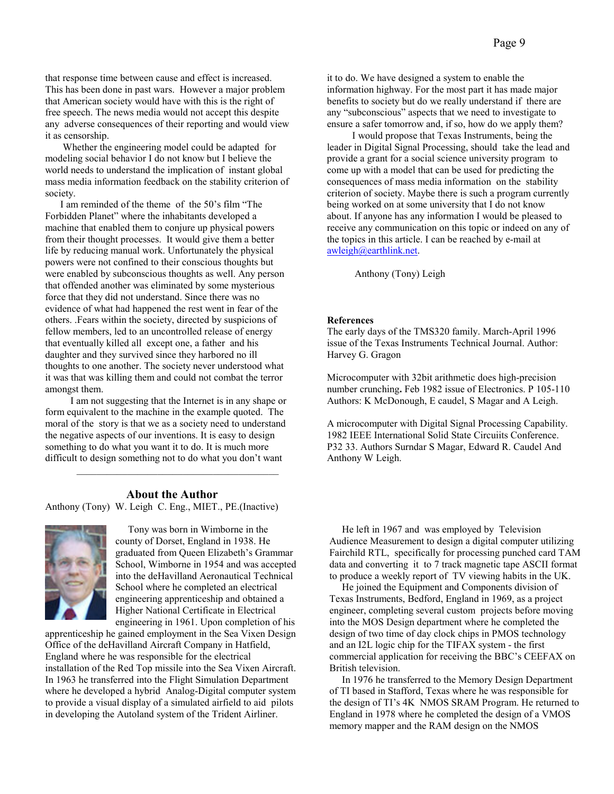that response time between cause and effect is increased. This has been done in past wars. However a major problem that American society would have with this is the right of free speech. The news media would not accept this despite any adverse consequences of their reporting and would view it as censorship.

 Whether the engineering model could be adapted for modeling social behavior I do not know but I believe the world needs to understand the implication of instant global mass media information feedback on the stability criterion of society.

 I am reminded of the theme of the 50's film "The Forbidden Planet" where the inhabitants developed a machine that enabled them to conjure up physical powers from their thought processes. It would give them a better life by reducing manual work. Unfortunately the physical powers were not confined to their conscious thoughts but were enabled by subconscious thoughts as well. Any person that offended another was eliminated by some mysterious force that they did not understand. Since there was no evidence of what had happened the rest went in fear of the others. .Fears within the society, directed by suspicions of fellow members, led to an uncontrolled release of energy that eventually killed all except one, a father and his daughter and they survived since they harbored no ill thoughts to one another. The society never understood what it was that was killing them and could not combat the terror amongst them.

 I am not suggesting that the Internet is in any shape or form equivalent to the machine in the example quoted. The moral of the story is that we as a society need to understand the negative aspects of our inventions. It is easy to design something to do what you want it to do. It is much more difficult to design something not to do what you don't want

## **About the Author**

\_\_\_\_\_\_\_\_\_\_\_\_\_\_\_\_\_\_\_\_\_\_\_\_\_\_\_\_\_\_\_\_\_\_\_\_\_\_\_\_

Anthony (Tony) W. Leigh C. Eng., MIET., PE.(Inactive)



 Tony was born in Wimborne in the county of Dorset, England in 1938. He graduated from Queen Elizabeth's Grammar School, Wimborne in 1954 and was accepted into the deHavilland Aeronautical Technical School where he completed an electrical engineering apprenticeship and obtained a Higher National Certificate in Electrical engineering in 1961. Upon completion of his

apprenticeship he gained employment in the Sea Vixen Design Office of the deHavilland Aircraft Company in Hatfield, England where he was responsible for the electrical installation of the Red Top missile into the Sea Vixen Aircraft. In 1963 he transferred into the Flight Simulation Department where he developed a hybrid Analog-Digital computer system to provide a visual display of a simulated airfield to aid pilots in developing the Autoland system of the Trident Airliner.

it to do. We have designed a system to enable the information highway. For the most part it has made major benefits to society but do we really understand if there are any "subconscious" aspects that we need to investigate to ensure a safer tomorrow and, if so, how do we apply them?

 I would propose that Texas Instruments, being the leader in Digital Signal Processing, should take the lead and provide a grant for a social science university program to come up with a model that can be used for predicting the consequences of mass media information on the stability criterion of society. Maybe there is such a program currently being worked on at some university that I do not know about. If anyone has any information I would be pleased to receive any communication on this topic or indeed on any of the topics in this article. I can be reached by e-mail at awleigh@earthlink.net.

Anthony (Tony) Leigh

#### **References**

The early days of the TMS320 family. March-April 1996 issue of the Texas Instruments Technical Journal. Author: Harvey G. Gragon

Microcomputer with 32bit arithmetic does high-precision number crunching**.** Feb 1982 issue of Electronics. P 105-110 Authors: K McDonough, E caudel, S Magar and A Leigh.

A microcomputer with Digital Signal Processing Capability. 1982 IEEE International Solid State Circuiits Conference. P32 33. Authors Surndar S Magar, Edward R. Caudel And Anthony W Leigh.

 He left in 1967 and was employed by Television Audience Measurement to design a digital computer utilizing Fairchild RTL, specifically for processing punched card TAM data and converting it to 7 track magnetic tape ASCII format to produce a weekly report of TV viewing habits in the UK.

 He joined the Equipment and Components division of Texas Instruments, Bedford, England in 1969, as a project engineer, completing several custom projects before moving into the MOS Design department where he completed the design of two time of day clock chips in PMOS technology and an I2L logic chip for the TIFAX system - the first commercial application for receiving the BBC's CEEFAX on British television.

 In 1976 he transferred to the Memory Design Department of TI based in Stafford, Texas where he was responsible for the design of TI's 4K NMOS SRAM Program. He returned to England in 1978 where he completed the design of a VMOS memory mapper and the RAM design on the NMOS